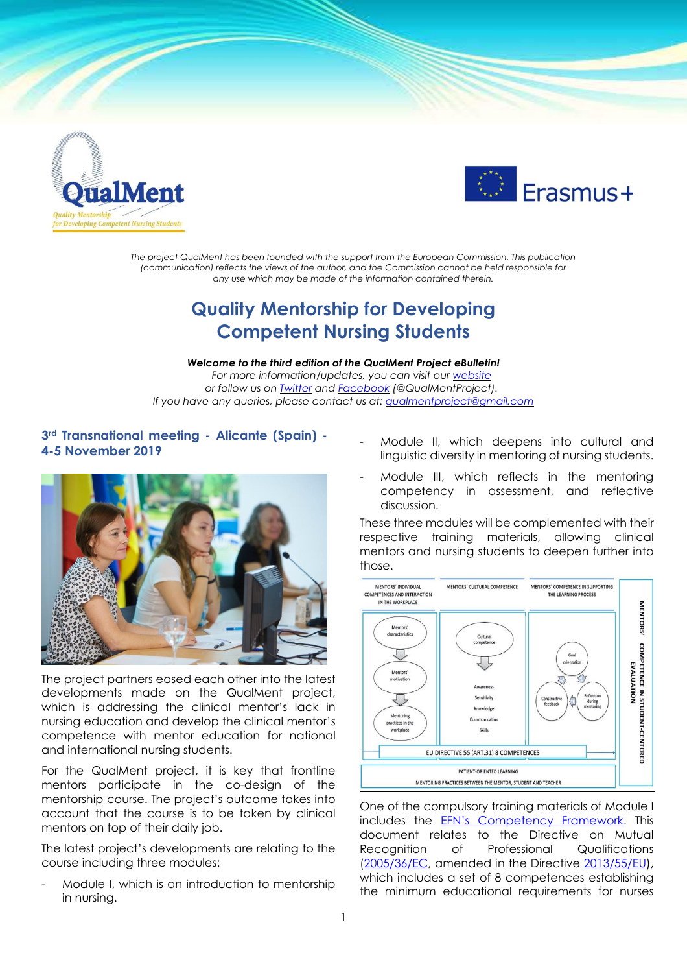



*The project QualMent has been founded with the support from the European Commission. This publication (communication) reflects the views of the author, and the Commission cannot be held responsible for any use which may be made of the information contained therein.*

# **Quality Mentorship for Developing Competent Nursing Students**

*Welcome to the third edition of the QualMent Project eBulletin! For more information/updates, you can visit our [website](http://www.qualment.be/) or follow us on [Twitter](https://twitter.com/QualMentProject) and [Facebook](https://www.facebook.com/QualMentProject/) (@QualMentProject). If you have any queries, please contact us at: [qualmentproject@gmail.com](mailto:qualmentproject@gmail.com)*

## **3rd Transnational meeting - Alicante (Spain) - 4-5 November 2019**



The project partners eased each other into the latest developments made on the QualMent project, which is addressing the clinical mentor's lack in nursing education and develop the clinical mentor's competence with mentor education for national and international nursing students.

For the QualMent project, it is key that frontline mentors participate in the co-design of the mentorship course. The project's outcome takes into account that the course is to be taken by clinical mentors on top of their daily job.

The latest project's developments are relating to the course including three modules:

Module I, which is an introduction to mentorship in nursing.

- Module II, which deepens into cultural and linguistic diversity in mentoring of nursing students.
- Module III, which reflects in the mentoring competency in assessment, and reflective discussion.

These three modules will be complemented with their respective training materials, allowing clinical mentors and nursing students to deepen further into those.



One of the compulsory training materials of Module I includes the EFN's [Competency](http://www.efnweb.be/?page_id=6897) Framework. This document relates to the Directive on Mutual Recognition of Professional Qualifications [\(2005/36/EC,](https://eur-lex.europa.eu/legal-content/EN/TXT/?uri=CELEX:32005L0036) amended in the Directive [2013/55/EU\)](https://eur-lex.europa.eu/legal-content/EN/ALL/?uri=CELEX:32013L0055), which includes a set of 8 competences establishing the minimum educational requirements for nurses